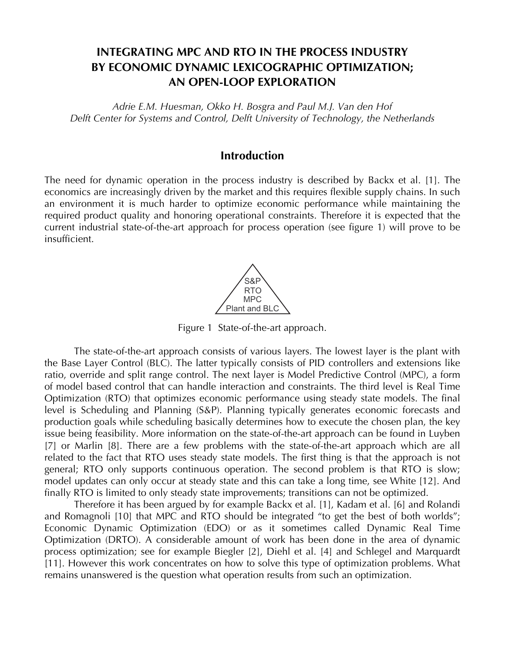# **INTEGRATING MPC AND RTO IN THE PROCESS INDUSTRY BY ECONOMIC DYNAMIC LEXICOGRAPHIC OPTIMIZATION; AN OPEN-LOOP EXPLORATION**

*Adrie E.M. Huesman, Okko H. Bosgra and Paul M.J. Van den Hof Delft Center for Systems and Control, Delft University of Technology, the Netherlands*

## **Introduction**

The need for dynamic operation in the process industry is described by Backx et al. [1]. The economics are increasingly driven by the market and this requires flexible supply chains. In such an environment it is much harder to optimize economic performance while maintaining the required product quality and honoring operational constraints. Therefore it is expected that the current industrial state-of-the-art approach for process operation (see figure 1) will prove to be insufficient.



Figure 1 State-of-the-art approach.

 The state-of-the-art approach consists of various layers. The lowest layer is the plant with the Base Layer Control (BLC). The latter typically consists of PID controllers and extensions like ratio, override and split range control. The next layer is Model Predictive Control (MPC), a form of model based control that can handle interaction and constraints. The third level is Real Time Optimization (RTO) that optimizes economic performance using steady state models. The final level is Scheduling and Planning (S&P). Planning typically generates economic forecasts and production goals while scheduling basically determines how to execute the chosen plan, the key issue being feasibility. More information on the state-of-the-art approach can be found in Luyben [7] or Marlin [8]. There are a few problems with the state-of-the-art approach which are all related to the fact that RTO uses steady state models. The first thing is that the approach is not general; RTO only supports continuous operation. The second problem is that RTO is slow; model updates can only occur at steady state and this can take a long time, see White [12]. And finally RTO is limited to only steady state improvements; transitions can not be optimized.

 Therefore it has been argued by for example Backx et al. [1], Kadam et al. [6] and Rolandi and Romagnoli [10] that MPC and RTO should be integrated "to get the best of both worlds"; Economic Dynamic Optimization (EDO) or as it sometimes called Dynamic Real Time Optimization (DRTO). A considerable amount of work has been done in the area of dynamic process optimization; see for example Biegler [2], Diehl et al. [4] and Schlegel and Marquardt [11]. However this work concentrates on how to solve this type of optimization problems. What remains unanswered is the question what operation results from such an optimization.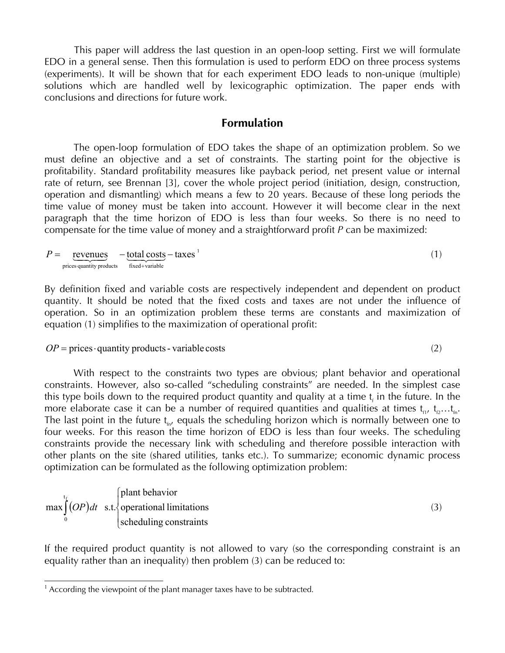This paper will address the last question in an open-loop setting. First we will formulate EDO in a general sense. Then this formulation is used to perform EDO on three process systems (experiments). It will be shown that for each experiment EDO leads to non-unique (multiple) solutions which are handled well by lexicographic optimization. The paper ends with conclusions and directions for future work.

## **Formulation**

 The open-loop formulation of EDO takes the shape of an optimization problem. So we must define an objective and a set of constraints. The starting point for the objective is profitability. Standard profitability measures like payback period, net present value or internal rate of return, see Brennan [3], cover the whole project period (initiation, design, construction, operation and dismantling) which means a few to 20 years. Because of these long periods the time value of money must be taken into account. However it will become clear in the next paragraph that the time horizon of EDO is less than four weeks. So there is no need to compensate for the time value of money and a straightforward profit *P* can be maximized:

 $=$   $revenues -total costs - taxes'$ </u> prices quantity products fixed + variable  $P =$  revenues (1)

By definition fixed and variable costs are respectively independent and dependent on product quantity. It should be noted that the fixed costs and taxes are not under the influence of operation. So in an optimization problem these terms are constants and maximization of equation (1) simplifies to the maximization of operational profit:

#### $OP = \text{prices} \cdot \text{quantity products} - \text{variable costs}$  (2)

 With respect to the constraints two types are obvious; plant behavior and operational constraints. However, also so-called "scheduling constraints" are needed. In the simplest case this type boils down to the required product quantity and quality at a time  ${\mathfrak t}_{{\mathfrak t}}$  in the future. In the more elaborate case it can be a number of required quantities and qualities at times  $t_{1}, t_{2}...t_{n}$ . The last point in the future  $t_{\text{in}}$ , equals the scheduling horizon which is normally between one to four weeks. For this reason the time horizon of EDO is less than four weeks. The scheduling constraints provide the necessary link with scheduling and therefore possible interaction with other plants on the site (shared utilities, tanks etc.). To summarize; economic dynamic process optimization can be formulated as the following optimization problem:

$$
\max_{0} \int_{0}^{t_{f}} (OP) dt \quad \text{s.t.} \begin{cases} \text{plant behavior} \\ \text{operational limitations} \\ \text{ scheduling constraints} \end{cases} \tag{3}
$$

If the required product quantity is not allowed to vary (so the corresponding constraint is an equality rather than an inequality) then problem (3) can be reduced to:

l

 $1$  According the viewpoint of the plant manager taxes have to be subtracted.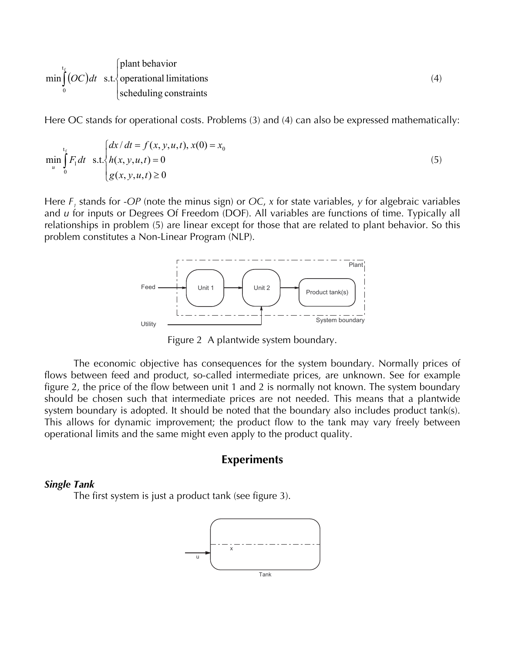$$
\min_{0} \int_{0}^{t_{f}} (OC)dt \quad \text{s.t.} \begin{cases} \text{plant behavior} \\ \text{operational limitations} \\ \text{ scheduling constraints} \end{cases} \tag{4}
$$

Here OC stands for operational costs. Problems (3) and (4) can also be expressed mathematically:

$$
\min_{u} \int_{0}^{t_{f}} F_{1} dt \quad \text{s.t.} \begin{cases} dx/dt = f(x, y, u, t), x(0) = x_{0} \\ h(x, y, u, t) = 0 \\ g(x, y, u, t) \ge 0 \end{cases}
$$
(5)

Here *F*, stands for -*OP* (note the minus sign) or *OC*, *x* for state variables, *y* for algebraic variables and *u* for inputs or Degrees Of Freedom (DOF). All variables are functions of time. Typically all relationships in problem (5) are linear except for those that are related to plant behavior. So this problem constitutes a Non-Linear Program (NLP).



Figure 2 A plantwide system boundary.

 The economic objective has consequences for the system boundary. Normally prices of flows between feed and product, so-called intermediate prices, are unknown. See for example figure 2, the price of the flow between unit 1 and 2 is normally not known. The system boundary should be chosen such that intermediate prices are not needed. This means that a plantwide system boundary is adopted. It should be noted that the boundary also includes product tank(s). This allows for dynamic improvement; the product flow to the tank may vary freely between operational limits and the same might even apply to the product quality.

#### **Experiments**

#### *Single Tank*

The first system is just a product tank (see figure 3).

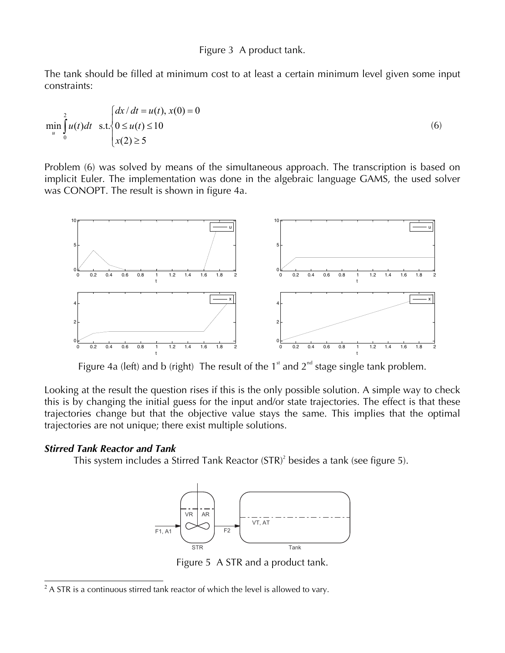#### Figure 3 A product tank.

The tank should be filled at minimum cost to at least a certain minimum level given some input constraints:

$$
\min_{u} \int_{0}^{2} u(t)dt \quad \text{s.t.} \begin{cases} dx/dt = u(t), x(0) = 0\\ 0 \le u(t) \le 10\\ x(2) \ge 5 \end{cases}
$$
 (6)

Problem (6) was solved by means of the simultaneous approach. The transcription is based on implicit Euler. The implementation was done in the algebraic language GAMS, the used solver was CONOPT. The result is shown in figure 4a.



Figure 4a (left) and b (right) The result of the  $1<sup>st</sup>$  and  $2<sup>nd</sup>$  stage single tank problem.

Looking at the result the question rises if this is the only possible solution. A simple way to check this is by changing the initial guess for the input and/or state trajectories. The effect is that these trajectories change but that the objective value stays the same. This implies that the optimal trajectories are not unique; there exist multiple solutions.

## *Stirred Tank Reactor and Tank*

l

This system includes a Stirred Tank Reactor  $(STR)^2$  besides a tank (see figure 5).



Figure 5 A STR and a product tank.

 $2$  A STR is a continuous stirred tank reactor of which the level is allowed to vary.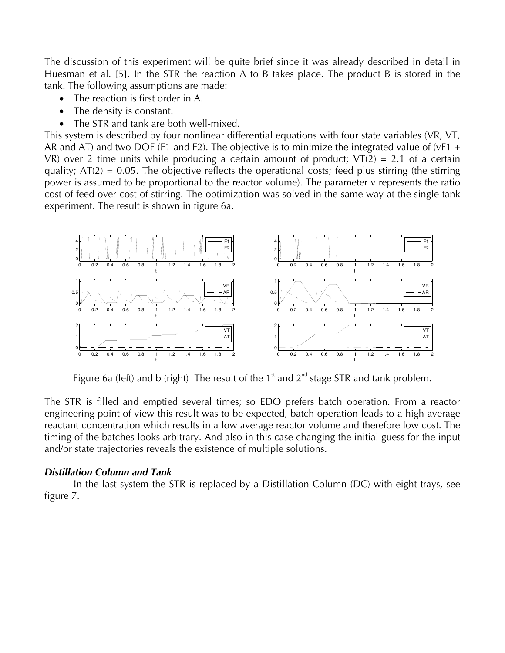The discussion of this experiment will be quite brief since it was already described in detail in Huesman et al. [5]. In the STR the reaction A to B takes place. The product B is stored in the tank. The following assumptions are made:

- The reaction is first order in A.
- The density is constant.
- The STR and tank are both well-mixed.

This system is described by four nonlinear differential equations with four state variables (VR, VT, AR and AT) and two DOF (F1 and F2). The objective is to minimize the integrated value of (vF1 + VR) over 2 time units while producing a certain amount of product;  $VT(2) = 2.1$  of a certain quality;  $AT(2) = 0.05$ . The objective reflects the operational costs; feed plus stirring (the stirring power is assumed to be proportional to the reactor volume). The parameter v represents the ratio cost of feed over cost of stirring. The optimization was solved in the same way at the single tank experiment. The result is shown in figure 6a.



Figure 6a (left) and b (right) The result of the 1<sup>st</sup> and  $2^{nd}$  stage STR and tank problem.

The STR is filled and emptied several times; so EDO prefers batch operation. From a reactor engineering point of view this result was to be expected, batch operation leads to a high average reactant concentration which results in a low average reactor volume and therefore low cost. The timing of the batches looks arbitrary. And also in this case changing the initial guess for the input and/or state trajectories reveals the existence of multiple solutions.

## *Distillation Column and Tank*

 In the last system the STR is replaced by a Distillation Column (DC) with eight trays, see figure 7.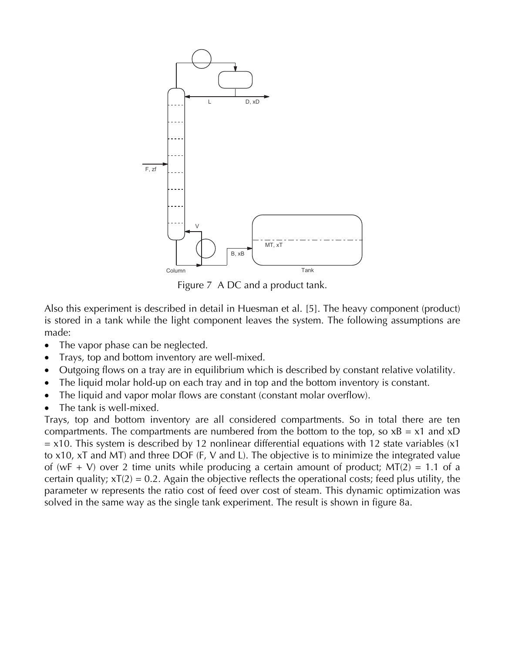

Figure 7 A DC and a product tank.

Also this experiment is described in detail in Huesman et al. [5]. The heavy component (product) is stored in a tank while the light component leaves the system. The following assumptions are made:

- The vapor phase can be neglected.
- Trays, top and bottom inventory are well-mixed.
- Outgoing flows on a tray are in equilibrium which is described by constant relative volatility.
- The liquid molar hold-up on each tray and in top and the bottom inventory is constant.
- The liquid and vapor molar flows are constant (constant molar overflow).
- The tank is well-mixed.

Trays, top and bottom inventory are all considered compartments. So in total there are ten compartments. The compartments are numbered from the bottom to the top, so  $xB = x1$  and  $xD$  $=$  x10. This system is described by 12 nonlinear differential equations with 12 state variables (x1) to x10, xT and MT) and three DOF (F, V and L). The objective is to minimize the integrated value of (wF + V) over 2 time units while producing a certain amount of product;  $MT(2) = 1.1$  of a certain quality;  $xT(2) = 0.2$ . Again the objective reflects the operational costs; feed plus utility, the parameter w represents the ratio cost of feed over cost of steam. This dynamic optimization was solved in the same way as the single tank experiment. The result is shown in figure 8a.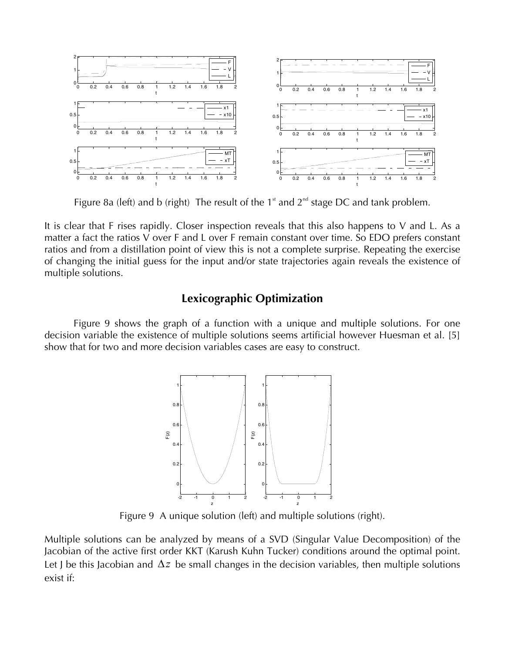

Figure 8a (left) and b (right) The result of the  $1<sup>st</sup>$  and  $2<sup>nd</sup>$  stage DC and tank problem.

It is clear that F rises rapidly. Closer inspection reveals that this also happens to V and L. As a matter a fact the ratios V over F and L over F remain constant over time. So EDO prefers constant ratios and from a distillation point of view this is not a complete surprise. Repeating the exercise of changing the initial guess for the input and/or state trajectories again reveals the existence of multiple solutions.

## **Lexicographic Optimization**

 Figure 9 shows the graph of a function with a unique and multiple solutions. For one decision variable the existence of multiple solutions seems artificial however Huesman et al. [5] show that for two and more decision variables cases are easy to construct.



Figure 9 A unique solution (left) and multiple solutions (right).

Multiple solutions can be analyzed by means of a SVD (Singular Value Decomposition) of the Jacobian of the active first order KKT (Karush Kuhn Tucker) conditions around the optimal point. Let J be this Jacobian and  $\Delta z$  be small changes in the decision variables, then multiple solutions exist if: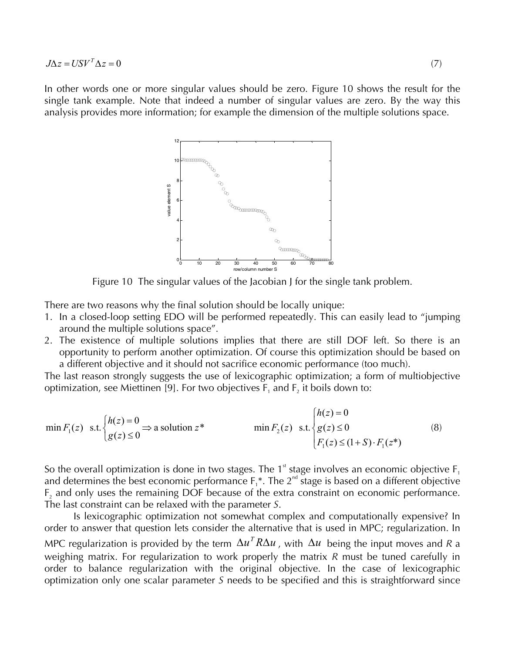In other words one or more singular values should be zero. Figure 10 shows the result for the single tank example. Note that indeed a number of singular values are zero. By the way this analysis provides more information; for example the dimension of the multiple solutions space.



Figure 10 The singular values of the Jacobian J for the single tank problem.

There are two reasons why the final solution should be locally unique:

- 1. In a closed-loop setting EDO will be performed repeatedly. This can easily lead to "jumping around the multiple solutions space".
- 2. The existence of multiple solutions implies that there are still DOF left. So there is an opportunity to perform another optimization. Of course this optimization should be based on a different objective and it should not sacrifice economic performance (too much).

The last reason strongly suggests the use of lexicographic optimization; a form of multiobjective optimization, see Miettinen [9]. For two objectives  $F_1$  and  $F_2$  it boils down to:

$$
\min F_1(z) \quad \text{s.t.} \begin{cases} h(z) = 0 \\ g(z) \le 0 \end{cases} \Rightarrow \text{ a solution } z^* \qquad \min F_2(z) \quad \text{s.t.} \begin{cases} h(z) = 0 \\ g(z) \le 0 \\ F_1(z) \le (1+S) \cdot F_1(z^*) \end{cases} \tag{8}
$$

So the overall optimization is done in two stages. The 1<sup>st</sup> stage involves an economic objective  $F_1$ and determines the best economic performance  $F_1^*$ . The  $2^{nd}$  stage is based on a different objective F<sub>2</sub> and only uses the remaining DOF because of the extra constraint on economic performance. The last constraint can be relaxed with the parameter *S*.

 Is lexicographic optimization not somewhat complex and computationally expensive? In order to answer that question lets consider the alternative that is used in MPC; regularization. In MPC regularization is provided by the term  $\Delta u^T R \Delta u$  , with  $\Delta u$  being the input moves and R a weighing matrix. For regularization to work properly the matrix *R* must be tuned carefully in order to balance regularization with the original objective. In the case of lexicographic optimization only one scalar parameter *S* needs to be specified and this is straightforward since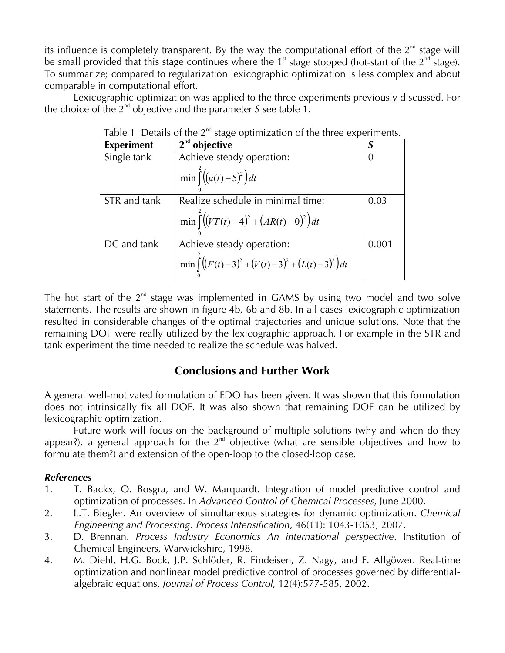its influence is completely transparent. By the way the computational effort of the  $2<sup>nd</sup>$  stage will be small provided that this stage continues where the 1<sup>st</sup> stage stopped (hot-start of the  $2^{nd}$  stage). To summarize; compared to regularization lexicographic optimization is less complex and about comparable in computational effort.

 Lexicographic optimization was applied to the three experiments previously discussed. For the choice of the  $2^{nd}$  objective and the parameter *S* see table 1.

| rable T Details of the 2 -stage optimization of the three experiments. |                                                           |          |  |  |
|------------------------------------------------------------------------|-----------------------------------------------------------|----------|--|--|
| <b>Experiment</b>                                                      | $2nd$ objective                                           |          |  |  |
| Single tank                                                            | Achieve steady operation:                                 | $\Omega$ |  |  |
|                                                                        | $\min \int_{0}^{2} ((u(t)-5)^{2}) dt$                     |          |  |  |
| STR and tank                                                           | Realize schedule in minimal time:                         | 0.03     |  |  |
|                                                                        | $\min \int_0^2 ((VT(t)-4)^2 + (AR(t)-0)^2) dt$            |          |  |  |
| DC and tank                                                            | Achieve steady operation:                                 | 0.001    |  |  |
|                                                                        | $\min \int_0^2 ((F(t)-3)^2 + (V(t)-3)^2 + (L(t)-3)^2) dt$ |          |  |  |

|  | Table 1 Details of the $2^{nd}$ stage optimization of the three experiments. |  |
|--|------------------------------------------------------------------------------|--|
|  |                                                                              |  |

The hot start of the  $2^{nd}$  stage was implemented in GAMS by using two model and two solve statements. The results are shown in figure 4b, 6b and 8b. In all cases lexicographic optimization resulted in considerable changes of the optimal trajectories and unique solutions. Note that the remaining DOF were really utilized by the lexicographic approach. For example in the STR and tank experiment the time needed to realize the schedule was halved.

# **Conclusions and Further Work**

A general well-motivated formulation of EDO has been given. It was shown that this formulation does not intrinsically fix all DOF. It was also shown that remaining DOF can be utilized by lexicographic optimization.

 Future work will focus on the background of multiple solutions (why and when do they appear?), a general approach for the  $2<sup>nd</sup>$  objective (what are sensible objectives and how to formulate them?) and extension of the open-loop to the closed-loop case.

## *References*

- 1. T. Backx, O. Bosgra, and W. Marquardt. Integration of model predictive control and optimization of processes. In *Advanced Control of Chemical Processes*, June 2000.
- 2. L.T. Biegler. An overview of simultaneous strategies for dynamic optimization. *Chemical Engineering and Processing: Process Intensification*, 46(11): 1043-1053, 2007.
- 3. D. Brennan. *Process Industry Economics An international perspective*. Institution of Chemical Engineers, Warwickshire, 1998.
- 4. M. Diehl, H.G. Bock, J.P. Schlöder, R. Findeisen, Z. Nagy, and F. Allgöwer. Real-time optimization and nonlinear model predictive control of processes governed by differentialalgebraic equations. *Journal of Process Control*, 12(4):577-585, 2002.